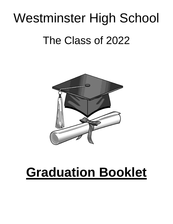# Westminster High School The Class of 2022



## **Graduation Booklet**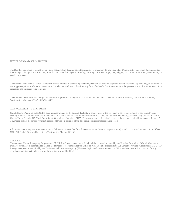#### NOTICE OF NON-DISCRIMINATION

The Board of Education of Carroll County does not engage in discrimination that is unlawful or contrary to Maryland State Department of Education guidance on the basis of age, color, genetic information, marital status, mental or physical disability, ancestry or national origin, race, religion, sex, sexual orientation, gender identity, or gender expression.

The Board of Education of Carroll County is firmly committed to creating equal employment and educational opportunities for all persons by providing an environment that supports optimal academic achievement and productive work and is free from any form of unlawful discrimination, including access to school facilities, educational programs, and extracurricular activities.

The following person has been designated to handle inquiries regarding the non-discrimination policies: Director of Human Resources, 125 North Court Street, Westminster, Maryland 21157, (410) 751-3070.

#### ADA ACCESSIBILITY STATEMENT

Carroll County Public Schools (CCPS) does not discriminate on the basis of disability in employment or the provision of services, programs or activities. Persons needing auxiliary aids and services for communication should contact the Communications Office at 410-751-3020 or publicinfo@carrollk12.org, or write to Carroll County Public Schools, 125 North Court Street, Westminster, Maryland 21157. Persons who are deaf, hard of hearing, or have a speech disability, may use Relay or 7- 1-1. Please contact the school system at least one (1) week in advance of the date the special accommodation is needed.

Information concerning the Americans with Disabilities Act is available from the Director of Facilities Management, (410) 751-3177, or the Communications Officer, (410) 751-3020, 125 North Court Street, Westminster, Maryland 21157.

#### A.H.E.R.A.

The Asbestos Hazard Emergency Response Act (A.H.E.R.A.) management plans for all buildings owned or leased by the Board of Education of Carroll County are available for review at the individual Carroll County school locations and at the Office of Plant Operations located at: 191 Schaeffer Avenue, Westminster, MD 21157. Management plans are required by the Environmental Protection Agency (EPA) and depict the location, amount, condition, and response action projected for any asbestos-containing materials, if any are located in the school building.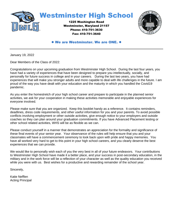



#### ● We are Westminster. We are ONE. ●

January 19, 2022

Dear Members of the Class of 2022:

Congratulations on your upcoming graduation from Westminster High School. During the last four years, you have had a variety of experiences that have been designed to prepare you intellectually, socially, and personally for future success in college and in your careers. During the last two years, you have had experiences that will make you stronger adults and more capable to deal with life challenges in the future. I am proud of the way you have dealt with your education and the maturity in which you handled the Covid19 pandemic.

As you enter the homestretch of your high school career and prepare to participate in the planned senior activities, we ask for your cooperation in making these activities memorable and enjoyable experiences for everyone involved.

Please make sure that you are organized. Keep this booklet handy as a reference. It contains reminders, deadlines, dress code requirements, and other useful information for you and your parents. To avoid possible conflicts involving employment or other outside activities, give enough notice to your employers and outside coaches so they can plan around your graduation commitments. If you have Advanced Placement testing or other school related activities, WHS will be as flexible as we can.

Please conduct yourself in a manner that demonstrates an appreciation for the formality and significance of these final events of your senior year. Your observance of the rules will help ensure that you and your classmates will have a commencement ceremony to look back upon with pride and happy memories. You have all worked very hard to get to this point in your high school careers, and you clearly deserve the best experiences that we can provide.

We would like to personally wish each of you the very best in all of your future endeavors. Your contributions to Westminster High School have made it a better place, and your success in post-secondary education, in the military and in the work force will be a reflection of your character as well as the quality education you received while you were with us. Best wishes for a productive and rewarding remainder of the school year.

Sincerely,

Katie Nefflen Acting Principal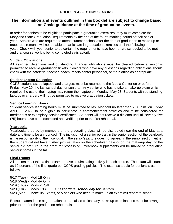## **POLICIES AFFECTING SENIORS**

## **The information and events outlined in this booklet are subject to change based on Covid guidance at the time of graduation events.**

In order for seniors to be eligible to participate in graduation exercises, they must complete the Maryland State Graduation Requirements by the end of the fourth marking period of their senior year. Seniors who are required to attend summer school after the date of graduation to make-up or meet requirements will not be able to participate in graduation exercises until the following year. Check with your senior to be certain the requirements have been or are scheduled to be met and that course work is being completed satisfactorily.

#### **Student Obligations**

All assigned detentions and outstanding financial obligations must be cleared before a senior is permitted to receive graduation tickets. Seniors who have any questions regarding obligations should check with the cafeteria, teacher, coach, media center personnel, or main office as appropriate.

#### **Student Laptop Collection**

CCPS student issued laptops and chargers must be returned to the Media Center on or before Friday, May 20, the last school day for seniors. Any senior who has to take a make-up exam which requires the use of their laptop may return their laptop on Monday, May 23. Students with outstanding laptops or chargers will not be permitted to receive graduation tickets.

#### **Service Learning Hours**

Student service learning hours must be submitted to Ms. Mongold no later than 2:30 p.m. on Friday April 29, 2022, to be eligible to participate in commencement activities and to be considered for meritorious or exemplary service certificates. Students will not receive a diploma until all seventy-five (75) hours have been submitted and verified prior to the first rehearsal.

### **Yearbooks**

Yearbooks ordered by members of the graduating class will be distributed near the end of May at a date and time to be announced. The inclusion of a senior portrait in the senior section of the yearbook is the responsibility of the individual. If the senior's picture does not appear in the senior section, either the student did not have his/her picture taken on the scheduled date or on the make-up day, or the senior did not turn in the proof for processing. Yearbook supplements will be mailed to graduating seniors' homes in the fall.

### **Final Exams**

All seniors must take a final exam or have a culminating activity in each course. The exam will count as 10 percent of the final grade per CCPS grading policies. The exam schedule for seniors is as follows:

5/17 (Tue) - Mod 1B Only 5/18 (Wed) - Mod 4A Only 5/19 (Thu) - Mods 2, 4/4B 5/20 (Fri) - Mods 1/1A, 3 *Last official school day for Seniors* 5/23 (Mon) - Make-up Exams, only seniors who need to make up an exam will report to school

Because attendance at graduation rehearsals is critical, any make-up examinations must be arranged prior to or after the graduation rehearsals.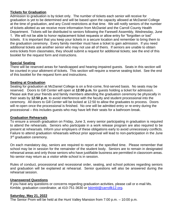### **Tickets for Graduation**

Admission to graduation is by ticket only. The number of tickets each senior will receive for graduation is yet to be determined and will be based upon the capacity allowed at McDaniel College at the time of graduation, and any Covid restrictions at that time. We will notify seniors of the number of tickets allotted as we receive more information from McDaniel and the Carroll County Health Department. Tickets will be distributed to seniors following the Farewell Assembly, Wednesday, June 1. We will not be able to honor replacement ticket requests or allow entry for "forgotten or lost" tickets. It is important that you keep your tickets in a secure location and remember to bring them to the graduation ceremony. Every family member must have a ticket to gain admission. If you need additional tickets ask another senior who may not use all of theirs. If seniors are unable to obtain extra tickets from classmates, they should submit a request for additional tickets; see the end of this booklet for the request form and instructions.

### **Special Seating**

There will be reserved areas for handicapped and hearing-impaired guests. Seats in this section will be counted in your allotment of tickets. This section will require a reserve seating ticket. See the end of this booklet for the request form and instructions.

### **Seating at Graduation**

Seating for graduation at McDaniel College is on a first-come, first-served basis. No seats may be reserved. Doors to Gill Center will open at **12:00 p.m.** for guests holding a ticket for admission. Please ask that your friends and family members attending the graduation ceremony be physically in their seats by **12:50 p.m**. to avoid interference with the faculty and student processional into the ceremony. All doors to Gill Center will be locked at 12:50 to allow the graduates to process. Doors will re-open once the processional is finished. No one will be admitted entry or re-entry during the processional – this includes guests who may have left their seats for a bathroom break.

#### **Graduation Rehearsals**

To ensure a smooth graduation on Friday, June 3, every senior participating in graduation is required to attend the rehearsals. Seniors who participate in a work release program are also required to be present at rehearsals. Inform your employers of these obligations early to avoid unnecessary conflicts. Failure to attend graduation rehearsals without prior approval will lead to non-participation in the June 3<sup>rd</sup> graduation ceremony.

On each mandatory day, seniors are required to report at the specified time. Please remember that school may be in session for the remainder of the student body. Seniors are to remain in designated rehearsal areas and only those seniors who have justifiable business are permitted in classroom areas. No senior may return as a visitor while school is in session.

Rules of conduct, processional and recessional order, seating, and school policies regarding seniors and graduation will be explained at rehearsal. Senior questions will also be answered during the rehearsal session.

### **Unanswered Questions**

If you have any questions or concerns regarding graduation activities, please call or e-mail Ms. Kimble, graduation coordinator, at 410-751-3630 or **Solut Schooln Example 2.** Arg.

### **Saturday, May 21, 2022**

The Senior Prom will be held at the Hunt Valley Mansion from 7:00 p.m. – 10:00 p.m.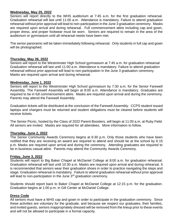#### **Wednesday, May 25, 2022**

Seniors will report directly to the WHS auditorium at 7:45 a.m. for the first graduation rehearsal. Graduation rehearsal will last until 11:00 a.m. Attendance is mandatory. Failure to attend graduation rehearsal without prior approval will lead to non-participation in the June 3 graduation ceremony. Masks are required upon arrival and during rehearsal. Full commencement attire including cap and gown, proper dress, and proper footwear must be worn. Seniors are required to remain in the area of the auditorium or gymnasium until all rehearsal needs have been met.

The senior panoramic will be taken immediately following rehearsal. Only students in full cap and gown will be photographed.

#### **Thursday, May 26, 2022**

Seniors will report to the Westminster High School gymnasium at 7:45 a.m. for graduation rehearsal. Graduation rehearsal will last until 11:00 a.m. Attendance is mandatory. Failure to attend graduation rehearsal without prior approval will lead to non-participation in the June 3 graduation ceremony. Masks are required upon arrival and during rehearsal.

#### **Wednesday, June 1, 2022**

Seniors will report to the Westminster High School gymnasium by 7:30 a.m. for the Senior Farewell Assembly. The Farewell Assembly will begin at 8:00 a.m. Attendance is mandatory. Graduates are required to be in full commencement attire. Masks are required upon arrival and during the ceremony. Parents may attend the Farewell Assembly.

Graduation tickets will be distributed at the conclusion of the Farewell Assembly. CCPS student issued laptops and chargers must be returned and student obligations must be cleared before students will receive tickets.

The Senior Picnic, hosted by the Class of 2022 Parent Boosters, will begin at 11:00 a.m. at Ruby Field. All seniors are invited. Masks are required for all attendees. More information to follow.

#### **Thursday, June 2, 2022**

The Senior Community Awards Ceremony begins at 6:30 p.m. Only those students who have been notified that they are receiving an award are required to attend and should be at the school by 6:15 p.m. Masks are required upon arrival and during the ceremony. Attending graduates are required to be in business casual attire. Parents may attend the Community Awards Ceremony.

#### **Friday, June 3, 2022**

Students will report to Big Baker Chapel at McDaniel College at 8:00 a.m. for graduation rehearsal. Graduation rehearsal will last until 10:30 a.m. Masks are required upon arrival and during rehearsal. It is recommended that seniors wear their graduation shoes in order to practice navigating the steps and stage. Graduation rehearsal is mandatory. Failure to attend graduation rehearsal without prior approval will lead to non-participation in the June 3<sup>rd</sup> graduation ceremony.

Students should report back to Baker Chapel at McDaniel College at 12:15 p.m. for the graduation. Graduation begins at 1:00 p.m. in Gill Center at McDaniel College.

#### **Dress Code**

All seniors must have a WHS cap and gown in order to participate in the graduation ceremony. Since these activities are voluntary for the graduate, and because we respect our graduates, their families, and invited guests, seniors inappropriately dressed will be removed from the lineup prior to these events and will not be allowed to participate in a formal capacity.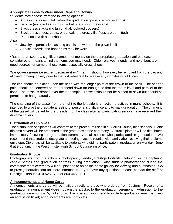### **Appropriate Dress to Wear under Caps and Gowns**

Students may choose from the following options:

- A dress that doesn't fall below the graduation gown or a blouse and skirt
- Dark tie (no bow ties) with white buttoned-down dress shirt
- Black dress slacks (no tan or khaki-colored trousers)
- Black dress shoes, boots, or sandals (no dressy flip-flops are permitted)
- Dark socks with shoes/boots

Also:

- Jewelry is permissible as long as it is not worn on the gown itself
- Service awards and honor pins may be worn

\*Rather than spend a significant amount of money on the appropriate graduation attire, please consider other means to find the items you may need. Older relatives, friends, and neighbors are good sources for some of these items, especially dress shoes.

*The gown cannot be ironed because it will melt.* It should, however, be removed from the bag and allowed to hang loosely prior to the first rehearsal to release any wrinkles or fold lines.

The cap should be placed upon the head with the longer point of the crown to the back. The shorter point should be centered on the forehead down far enough so that the top is level and parallel to the floor. The tassel is draped over the left temple. Tassels should not be pinned or sewn but should be permitted to hang naturally.

The changing of the tassel from the right to the left side is an action practiced in many schools. It is intended to give the graduate a feeling of personal significance and to mark graduation. The changing of the tassel will be led by the president of the class after all participating seniors have received their diploma covers.

#### **Distribution of Diplomas**

The distribution of diplomas will conform to the procedure used in all Carroll County high schools. Blank diploma covers will be presented to the graduates at the ceremony. Actual diplomas will be distributed immediately following the graduation ceremony to all seniors who participated in graduation. We recommend that students designate a meeting place to reunite with family after receiving their diploma envelope. Diplomas will be available to students who did not participate in graduation on Monday, June 6 at 9:00 a.m. in the Westminster High School Counseling office.

#### **Graduation Photos**

Photographers from the school's photography vendor, Prestige Portraits/Lifetouch, will be capturing candid photos and graduation portraits during graduation. Any student photographed during the commencement ceremony will be uploaded to an online photo gallery for viewing and purchasing. Go to prestigeportraits.com for more information. If you have any questions, please contact the staff at Prestige Lifetouch 410-525-1700 or 800-445-1191.

#### **Announcements and Name Cards**

Announcements and cards will be mailed directly to those who ordered from Jostens. Receipt of a graduation announcement **does not** ensure a ticket to the graduation ceremony. Admission to the graduation ceremony is *by ticket only*. Each person you intend to invite to graduation must be given an admission ticket; announcements are *not* tickets.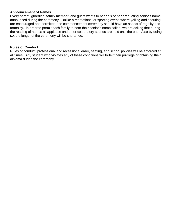#### **Announcement of Names**

Every parent, guardian, family member, and guest wants to hear his or her graduating senior's name announced during the ceremony. Unlike a recreational or sporting event, where yelling and shouting are encouraged and permitted, the commencement ceremony should have an aspect of regality and formality. In order to permit each family to hear their senior's name called, we are asking that during the reading of names all applause and other celebratory sounds are held until the end. Also by doing so, the length of the ceremony will be shortened.

#### **Rules of Conduct**

Rules of conduct, professional and recessional order, seating, and school policies will be enforced at all times. Any student who violates any of these conditions will forfeit their privilege of obtaining their diploma during the ceremony.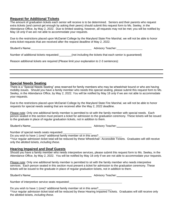#### **Request for Additional Tickets**

The amount of graduation tickets each senior will receive is to be determined. Seniors and their parents who request extra tickets (and cannot get enough by asking their peers) should submit this request form to Ms. Seeley, in the Attendance Office, by May 2, 2022. Due to limited seating, however, all requests may not be met; you will be notified by May 18 *only* if we are not able to accommodate your requests.

Due to the restrictions placed upon McDaniel College by the Maryland State Fire Marshal, we will not be able to honor extra ticket requests that are received after the request deadline of May 2, 2022.

Student's Name: Advisory Teacher: Advisory Teacher: Advisory Teacher:

Number of additional tickets requested:\_\_\_\_\_\_\_\_(not including the tickets that each senior is guaranteed)

Reason additional tickets are required (Please limit your explanation to 2-3 sentences):

#### **Special Needs Seating**

There is a "Special Needs Seating" area reserved for family members who may be wheelchair bound or who are having mobility issues. Should you have a family member who needs this special seating, please submit this request form to Ms. Seeley, in the Attendance Office, by May 2, 2022. You will be notified by May 18 *only* if we are not able to accommodate your requests.

Due to the restrictions placed upon McDaniel College by the Maryland State Fire Marshal, we will not be able to honor requests for special needs seating that are received after the May 2, 2022 deadline.

Please note: Only one additional family member is permitted to sit with the family member with special needs. Each person seated in this section must present a ticket for admission to the graduation ceremony. These tickets will be issued to the graduate in place of regular graduation tickets, not in addition to them.

Student's Name: Notified and the student's Name: Natural Advisory Teacher: Name of Advisory Teacher:

Number of special needs seats requested:

Do you wish to have 1 (one)\* additional family member sit in this area?

\*Your regular admission ticket total will be reduced by these Wheelchair- Accessible Tickets. Graduates will still receive only the allotted tickets, *including these*.

#### **Hearing Impaired and Deaf Guests**

Should you have a family member who needs interpretive services, please submit this request form to Ms. Seeley, in the Attendance Office, by May 2, 2022. You will be notified by May 18 *only* if we are not able to accommodate your requests.

Please note: Only one additional family member is permitted to sit with the family member who needs interpretive services. Each person seated in this section must present a ticket for admission to the graduation ceremony. These tickets will be issued to the graduate in place of regular graduation tickets, not in addition to them.

Student's Name: Advisory Teacher: Advisory Teacher:

Number of interpretive service seats requested:

Do you wish to have 1 (one)\* additional family member sit in this area? \*Your regular admission ticket total will be reduced by these Hearing Impaired Tickets. Graduates will still receive only the allotted tickets, *including these*.